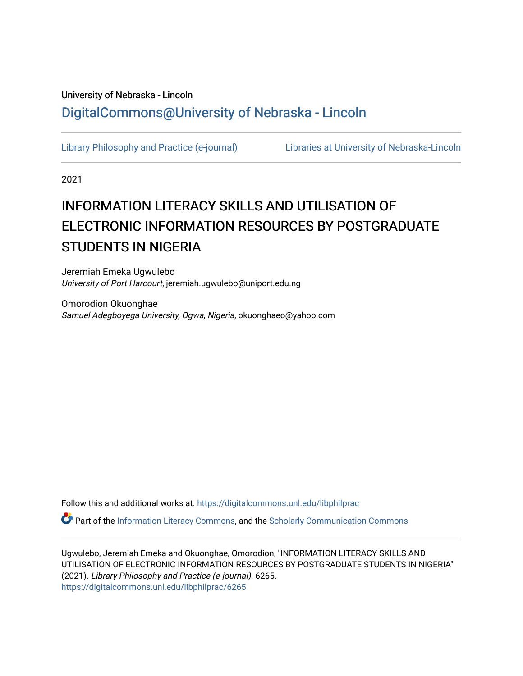# University of Nebraska - Lincoln [DigitalCommons@University of Nebraska - Lincoln](https://digitalcommons.unl.edu/)

[Library Philosophy and Practice \(e-journal\)](https://digitalcommons.unl.edu/libphilprac) [Libraries at University of Nebraska-Lincoln](https://digitalcommons.unl.edu/libraries) 

2021

# INFORMATION LITERACY SKILLS AND UTILISATION OF ELECTRONIC INFORMATION RESOURCES BY POSTGRADUATE STUDENTS IN NIGERIA

Jeremiah Emeka Ugwulebo University of Port Harcourt, jeremiah.ugwulebo@uniport.edu.ng

Omorodion Okuonghae Samuel Adegboyega University, Ogwa, Nigeria, okuonghaeo@yahoo.com

Follow this and additional works at: [https://digitalcommons.unl.edu/libphilprac](https://digitalcommons.unl.edu/libphilprac?utm_source=digitalcommons.unl.edu%2Flibphilprac%2F6265&utm_medium=PDF&utm_campaign=PDFCoverPages) 

Part of the [Information Literacy Commons](http://network.bepress.com/hgg/discipline/1243?utm_source=digitalcommons.unl.edu%2Flibphilprac%2F6265&utm_medium=PDF&utm_campaign=PDFCoverPages), and the [Scholarly Communication Commons](http://network.bepress.com/hgg/discipline/1272?utm_source=digitalcommons.unl.edu%2Flibphilprac%2F6265&utm_medium=PDF&utm_campaign=PDFCoverPages) 

Ugwulebo, Jeremiah Emeka and Okuonghae, Omorodion, "INFORMATION LITERACY SKILLS AND UTILISATION OF ELECTRONIC INFORMATION RESOURCES BY POSTGRADUATE STUDENTS IN NIGERIA" (2021). Library Philosophy and Practice (e-journal). 6265. [https://digitalcommons.unl.edu/libphilprac/6265](https://digitalcommons.unl.edu/libphilprac/6265?utm_source=digitalcommons.unl.edu%2Flibphilprac%2F6265&utm_medium=PDF&utm_campaign=PDFCoverPages)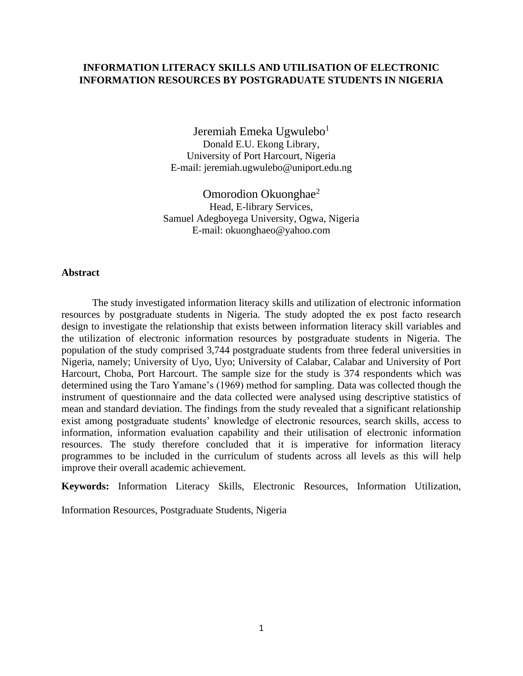# **INFORMATION LITERACY SKILLS AND UTILISATION OF ELECTRONIC INFORMATION RESOURCES BY POSTGRADUATE STUDENTS IN NIGERIA**

Jeremiah Emeka Ugwulebo<sup>1</sup> Donald E.U. Ekong Library, University of Port Harcourt, Nigeria E-mail: jeremiah.ugwulebo@uniport.edu.ng

Omorodion Okuonghae<sup>2</sup> Head, E-library Services, Samuel Adegboyega University, Ogwa, Nigeria E-mail: okuonghaeo@yahoo.com

### **Abstract**

The study investigated information literacy skills and utilization of electronic information resources by postgraduate students in Nigeria. The study adopted the ex post facto research design to investigate the relationship that exists between information literacy skill variables and the utilization of electronic information resources by postgraduate students in Nigeria. The population of the study comprised 3,744 postgraduate students from three federal universities in Nigeria, namely; University of Uyo, Uyo; University of Calabar, Calabar and University of Port Harcourt, Choba, Port Harcourt. The sample size for the study is 374 respondents which was determined using the Taro Yamane's (1969) method for sampling. Data was collected though the instrument of questionnaire and the data collected were analysed using descriptive statistics of mean and standard deviation. The findings from the study revealed that a significant relationship exist among postgraduate students' knowledge of electronic resources, search skills, access to information, information evaluation capability and their utilisation of electronic information resources. The study therefore concluded that it is imperative for information literacy programmes to be included in the curriculum of students across all levels as this will help improve their overall academic achievement.

**Keywords:** Information Literacy Skills, Electronic Resources, Information Utilization,

Information Resources, Postgraduate Students, Nigeria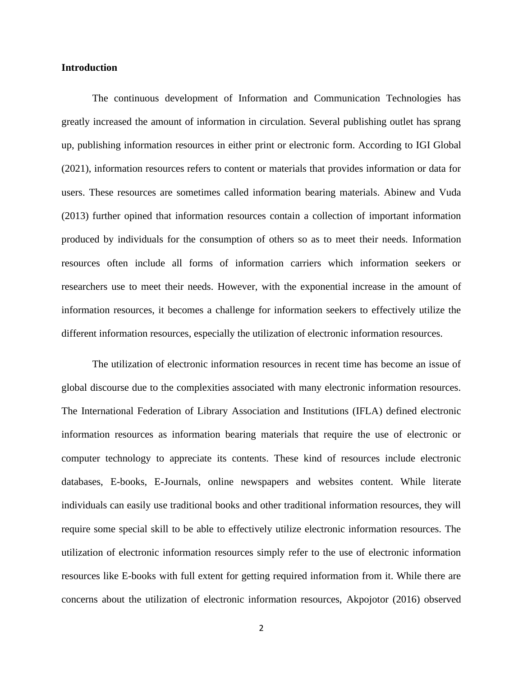### **Introduction**

The continuous development of Information and Communication Technologies has greatly increased the amount of information in circulation. Several publishing outlet has sprang up, publishing information resources in either print or electronic form. According to IGI Global (2021), information resources refers to content or materials that provides information or data for users. These resources are sometimes called information bearing materials. Abinew and Vuda (2013) further opined that information resources contain a collection of important information produced by individuals for the consumption of others so as to meet their needs. Information resources often include all forms of information carriers which information seekers or researchers use to meet their needs. However, with the exponential increase in the amount of information resources, it becomes a challenge for information seekers to effectively utilize the different information resources, especially the utilization of electronic information resources.

The utilization of electronic information resources in recent time has become an issue of global discourse due to the complexities associated with many electronic information resources. The International Federation of Library Association and Institutions (IFLA) defined electronic information resources as information bearing materials that require the use of electronic or computer technology to appreciate its contents. These kind of resources include electronic databases, E-books, E-Journals, online newspapers and websites content. While literate individuals can easily use traditional books and other traditional information resources, they will require some special skill to be able to effectively utilize electronic information resources. The utilization of electronic information resources simply refer to the use of electronic information resources like E-books with full extent for getting required information from it. While there are concerns about the utilization of electronic information resources, Akpojotor (2016) observed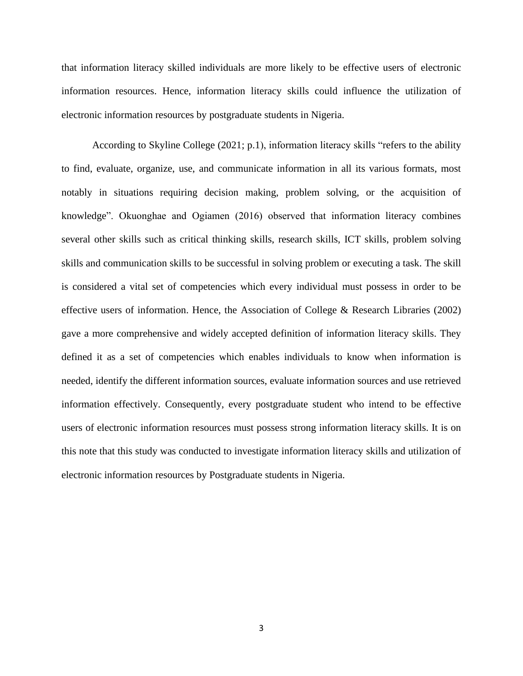that information literacy skilled individuals are more likely to be effective users of electronic information resources. Hence, information literacy skills could influence the utilization of electronic information resources by postgraduate students in Nigeria.

According to Skyline College (2021; p.1), information literacy skills "refers to the ability to find, evaluate, organize, use, and communicate information in all its various formats, most notably in situations requiring decision making, problem solving, or the acquisition of knowledge". Okuonghae and Ogiamen (2016) observed that information literacy combines several other skills such as critical thinking skills, research skills, ICT skills, problem solving skills and communication skills to be successful in solving problem or executing a task. The skill is considered a vital set of competencies which every individual must possess in order to be effective users of information. Hence, the Association of College & Research Libraries (2002) gave a more comprehensive and widely accepted definition of information literacy skills. They defined it as a set of competencies which enables individuals to know when information is needed, identify the different information sources, evaluate information sources and use retrieved information effectively. Consequently, every postgraduate student who intend to be effective users of electronic information resources must possess strong information literacy skills. It is on this note that this study was conducted to investigate information literacy skills and utilization of electronic information resources by Postgraduate students in Nigeria.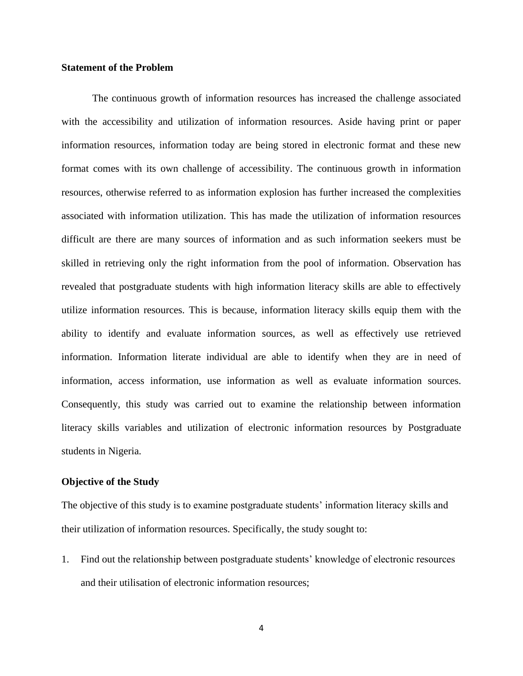### **Statement of the Problem**

The continuous growth of information resources has increased the challenge associated with the accessibility and utilization of information resources. Aside having print or paper information resources, information today are being stored in electronic format and these new format comes with its own challenge of accessibility. The continuous growth in information resources, otherwise referred to as information explosion has further increased the complexities associated with information utilization. This has made the utilization of information resources difficult are there are many sources of information and as such information seekers must be skilled in retrieving only the right information from the pool of information. Observation has revealed that postgraduate students with high information literacy skills are able to effectively utilize information resources. This is because, information literacy skills equip them with the ability to identify and evaluate information sources, as well as effectively use retrieved information. Information literate individual are able to identify when they are in need of information, access information, use information as well as evaluate information sources. Consequently, this study was carried out to examine the relationship between information literacy skills variables and utilization of electronic information resources by Postgraduate students in Nigeria.

### **Objective of the Study**

The objective of this study is to examine postgraduate students' information literacy skills and their utilization of information resources. Specifically, the study sought to:

1. Find out the relationship between postgraduate students' knowledge of electronic resources and their utilisation of electronic information resources;

4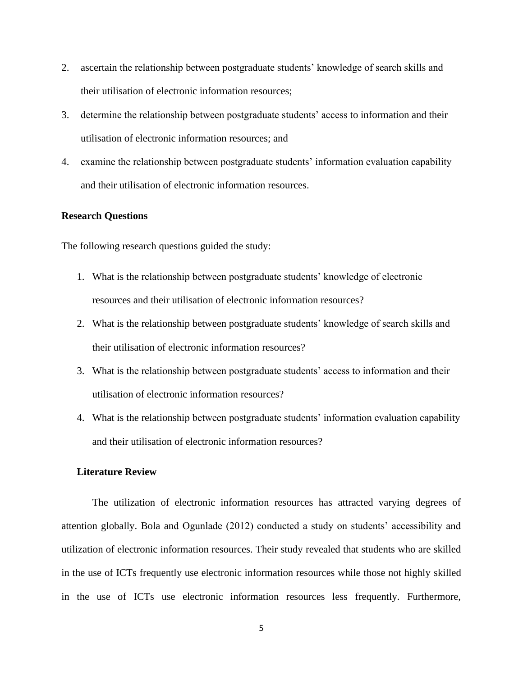- 2. ascertain the relationship between postgraduate students' knowledge of search skills and their utilisation of electronic information resources;
- 3. determine the relationship between postgraduate students' access to information and their utilisation of electronic information resources; and
- 4. examine the relationship between postgraduate students' information evaluation capability and their utilisation of electronic information resources.

### **Research Questions**

The following research questions guided the study:

- 1. What is the relationship between postgraduate students' knowledge of electronic resources and their utilisation of electronic information resources?
- 2. What is the relationship between postgraduate students' knowledge of search skills and their utilisation of electronic information resources?
- 3. What is the relationship between postgraduate students' access to information and their utilisation of electronic information resources?
- 4. What is the relationship between postgraduate students' information evaluation capability and their utilisation of electronic information resources?

### **Literature Review**

The utilization of electronic information resources has attracted varying degrees of attention globally. Bola and Ogunlade (2012) conducted a study on students' accessibility and utilization of electronic information resources. Their study revealed that students who are skilled in the use of ICTs frequently use electronic information resources while those not highly skilled in the use of ICTs use electronic information resources less frequently. Furthermore,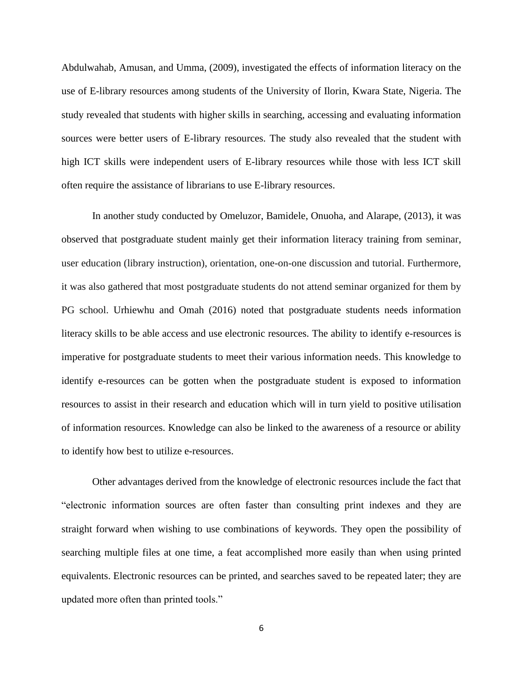Abdulwahab, Amusan, and Umma, (2009), investigated the effects of information literacy on the use of E-library resources among students of the University of Ilorin, Kwara State, Nigeria. The study revealed that students with higher skills in searching, accessing and evaluating information sources were better users of E-library resources. The study also revealed that the student with high ICT skills were independent users of E-library resources while those with less ICT skill often require the assistance of librarians to use E-library resources.

In another study conducted by Omeluzor, Bamidele, Onuoha, and Alarape, (2013), it was observed that postgraduate student mainly get their information literacy training from seminar, user education (library instruction), orientation, one-on-one discussion and tutorial. Furthermore, it was also gathered that most postgraduate students do not attend seminar organized for them by PG school. Urhiewhu and Omah (2016) noted that postgraduate students needs information literacy skills to be able access and use electronic resources. The ability to identify e-resources is imperative for postgraduate students to meet their various information needs. This knowledge to identify e-resources can be gotten when the postgraduate student is exposed to information resources to assist in their research and education which will in turn yield to positive utilisation of information resources. Knowledge can also be linked to the awareness of a resource or ability to identify how best to utilize e-resources.

Other advantages derived from the knowledge of electronic resources include the fact that "electronic information sources are often faster than consulting print indexes and they are straight forward when wishing to use combinations of keywords. They open the possibility of searching multiple files at one time, a feat accomplished more easily than when using printed equivalents. Electronic resources can be printed, and searches saved to be repeated later; they are updated more often than printed tools."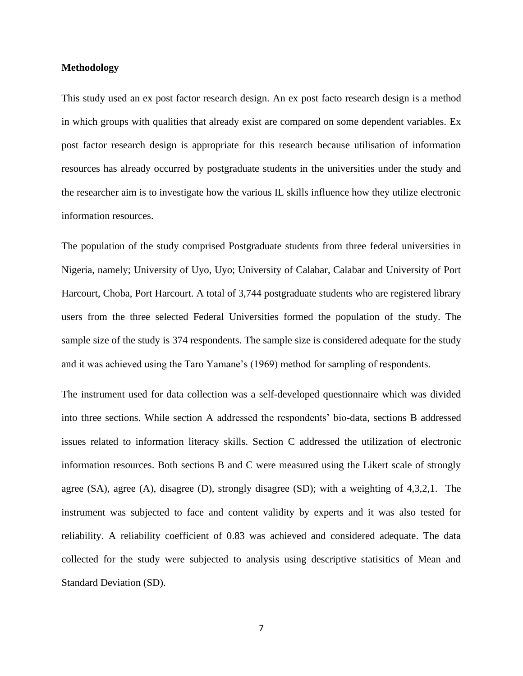### **Methodology**

This study used an ex post factor research design. An ex post facto research design is a method in which groups with qualities that already exist are compared on some dependent variables. Ex post factor research design is appropriate for this research because utilisation of information resources has already occurred by postgraduate students in the universities under the study and the researcher aim is to investigate how the various IL skills influence how they utilize electronic information resources.

The population of the study comprised Postgraduate students from three federal universities in Nigeria, namely; University of Uyo, Uyo; University of Calabar, Calabar and University of Port Harcourt, Choba, Port Harcourt. A total of 3,744 postgraduate students who are registered library users from the three selected Federal Universities formed the population of the study. The sample size of the study is 374 respondents. The sample size is considered adequate for the study and it was achieved using the Taro Yamane's (1969) method for sampling of respondents.

The instrument used for data collection was a self-developed questionnaire which was divided into three sections. While section A addressed the respondents' bio-data, sections B addressed issues related to information literacy skills. Section C addressed the utilization of electronic information resources. Both sections B and C were measured using the Likert scale of strongly agree (SA), agree (A), disagree (D), strongly disagree (SD); with a weighting of 4,3,2,1. The instrument was subjected to face and content validity by experts and it was also tested for reliability. A reliability coefficient of 0.83 was achieved and considered adequate. The data collected for the study were subjected to analysis using descriptive statisitics of Mean and Standard Deviation (SD).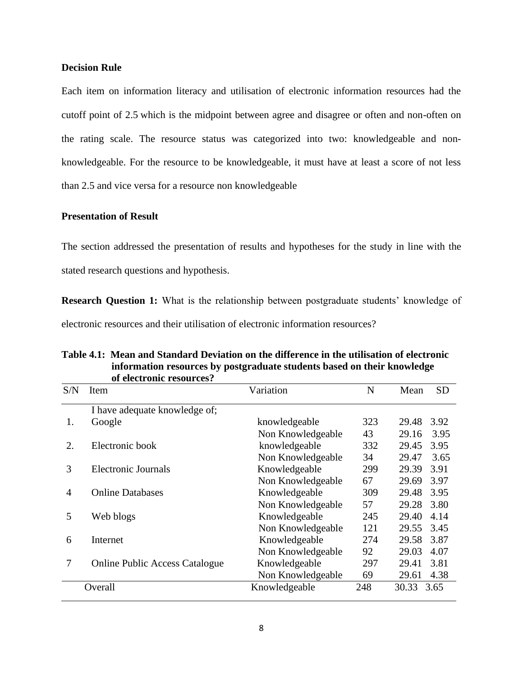## **Decision Rule**

Each item on information literacy and utilisation of electronic information resources had the cutoff point of 2.5 which is the midpoint between agree and disagree or often and non-often on the rating scale. The resource status was categorized into two: knowledgeable and nonknowledgeable. For the resource to be knowledgeable, it must have at least a score of not less than 2.5 and vice versa for a resource non knowledgeable

# **Presentation of Result**

The section addressed the presentation of results and hypotheses for the study in line with the stated research questions and hypothesis.

**Research Question 1:** What is the relationship between postgraduate students' knowledge of electronic resources and their utilisation of electronic information resources?

|     | of electronic resources?              |                   |     |       |           |
|-----|---------------------------------------|-------------------|-----|-------|-----------|
| S/N | Item                                  | Variation         | N   | Mean  | <b>SD</b> |
|     | I have adequate knowledge of;         |                   |     |       |           |
| 1.  | Google                                | knowledgeable     | 323 | 29.48 | 3.92      |
|     |                                       | Non Knowledgeable | 43  | 29.16 | 3.95      |
| 2.  | Electronic book                       | knowledgeable     | 332 | 29.45 | 3.95      |
|     |                                       | Non Knowledgeable | 34  | 29.47 | 3.65      |
| 3   | Electronic Journals                   | Knowledgeable     | 299 | 29.39 | 3.91      |
|     |                                       | Non Knowledgeable | 67  | 29.69 | 3.97      |
| 4   | <b>Online Databases</b>               | Knowledgeable     | 309 | 29.48 | 3.95      |
|     |                                       | Non Knowledgeable | 57  | 29.28 | 3.80      |
| 5   | Web blogs                             | Knowledgeable     | 245 | 29.40 | 4.14      |
|     |                                       | Non Knowledgeable | 121 | 29.55 | 3.45      |
| 6   | Internet                              | Knowledgeable     | 274 | 29.58 | 3.87      |
|     |                                       | Non Knowledgeable | 92  | 29.03 | 4.07      |
| 7   | <b>Online Public Access Catalogue</b> | Knowledgeable     | 297 | 29.41 | 3.81      |
|     |                                       | Non Knowledgeable | 69  | 29.61 | 4.38      |
|     | Overall                               | Knowledgeable     | 248 | 30.33 | 3.65      |

# **Table 4.1: Mean and Standard Deviation on the difference in the utilisation of electronic information resources by postgraduate students based on their knowledge**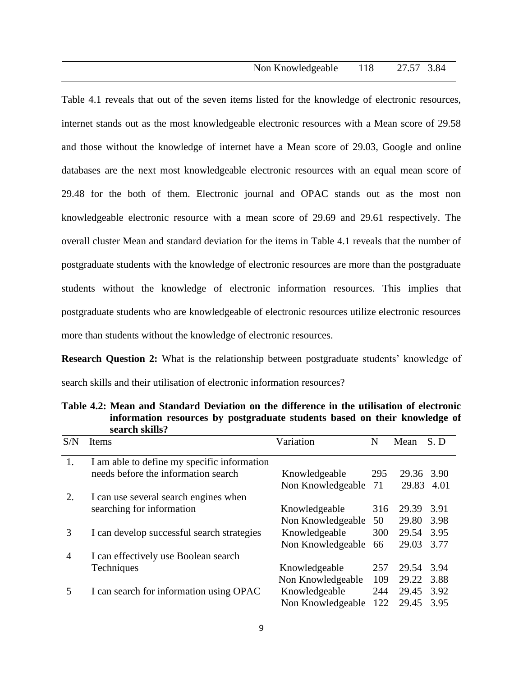Table 4.1 reveals that out of the seven items listed for the knowledge of electronic resources, internet stands out as the most knowledgeable electronic resources with a Mean score of 29.58 and those without the knowledge of internet have a Mean score of 29.03, Google and online databases are the next most knowledgeable electronic resources with an equal mean score of 29.48 for the both of them. Electronic journal and OPAC stands out as the most non knowledgeable electronic resource with a mean score of 29.69 and 29.61 respectively. The overall cluster Mean and standard deviation for the items in Table 4.1 reveals that the number of postgraduate students with the knowledge of electronic resources are more than the postgraduate students without the knowledge of electronic information resources. This implies that postgraduate students who are knowledgeable of electronic resources utilize electronic resources more than students without the knowledge of electronic resources.

**Research Question 2:** What is the relationship between postgraduate students' knowledge of search skills and their utilisation of electronic information resources?

| S/N            | Items                                       | Variation         | N   | Mean       | S.D  |
|----------------|---------------------------------------------|-------------------|-----|------------|------|
| 1.             | I am able to define my specific information |                   |     |            |      |
|                | needs before the information search         | Knowledgeable     | 295 | 29.36 3.90 |      |
|                |                                             | Non Knowledgeable | 71  | 29.83      | 4.01 |
| 2.             | I can use several search engines when       |                   |     |            |      |
|                | searching for information                   | Knowledgeable     | 316 | 29.39      | 3.91 |
|                |                                             | Non Knowledgeable | 50  | 29.80      | 3.98 |
| 3              | I can develop successful search strategies  | Knowledgeable     | 300 | 29.54      | 3.95 |
|                |                                             | Non Knowledgeable | 66  | 29.03      | 3.77 |
| $\overline{A}$ | I can effectively use Boolean search        |                   |     |            |      |
|                | Techniques                                  | Knowledgeable     | 257 | 29.54      | 3.94 |
|                |                                             | Non Knowledgeable | 109 | 29.22      | 3.88 |
| 5              | I can search for information using OPAC     | Knowledgeable     | 244 | 29.45      | 3.92 |
|                |                                             | Non Knowledgeable | 122 | 29.45      | 3.95 |

**Table 4.2: Mean and Standard Deviation on the difference in the utilisation of electronic information resources by postgraduate students based on their knowledge of search skills?**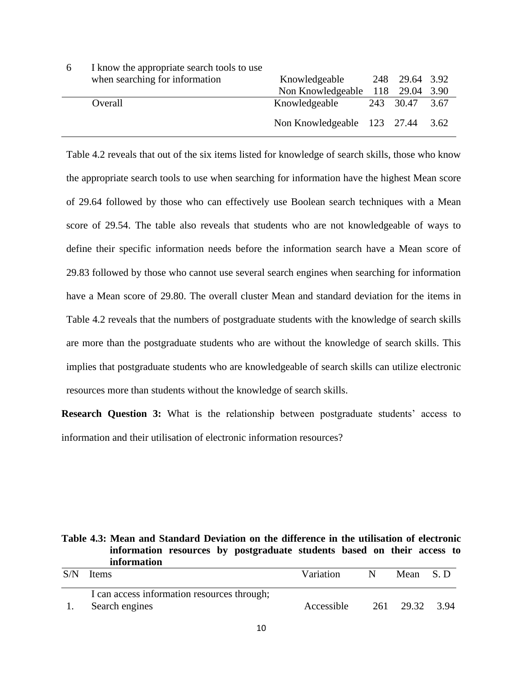| 6 | I know the appropriate search tools to use |                                  |                |  |
|---|--------------------------------------------|----------------------------------|----------------|--|
|   | when searching for information             | Knowledgeable                    | 248 29.64 3.92 |  |
|   |                                            | Non Knowledgeable 118 29.04 3.90 |                |  |
|   | Overall                                    | Knowledgeable                    | 243 30.47 3.67 |  |
|   |                                            | Non Knowledgeable 123 27.44 3.62 |                |  |

Table 4.2 reveals that out of the six items listed for knowledge of search skills, those who know the appropriate search tools to use when searching for information have the highest Mean score of 29.64 followed by those who can effectively use Boolean search techniques with a Mean score of 29.54. The table also reveals that students who are not knowledgeable of ways to define their specific information needs before the information search have a Mean score of 29.83 followed by those who cannot use several search engines when searching for information have a Mean score of 29.80. The overall cluster Mean and standard deviation for the items in Table 4.2 reveals that the numbers of postgraduate students with the knowledge of search skills are more than the postgraduate students who are without the knowledge of search skills. This implies that postgraduate students who are knowledgeable of search skills can utilize electronic resources more than students without the knowledge of search skills.

**Research Question 3:** What is the relationship between postgraduate students' access to information and their utilisation of electronic information resources?

**Table 4.3: Mean and Standard Deviation on the difference in the utilisation of electronic information resources by postgraduate students based on their access to information**

| S/N | <b>Items</b>                                | Variation  | N | Mean      | - S.D |
|-----|---------------------------------------------|------------|---|-----------|-------|
|     | I can access information resources through; |            |   |           |       |
|     | Search engines                              | Accessible |   | 261 29.32 | 3.94  |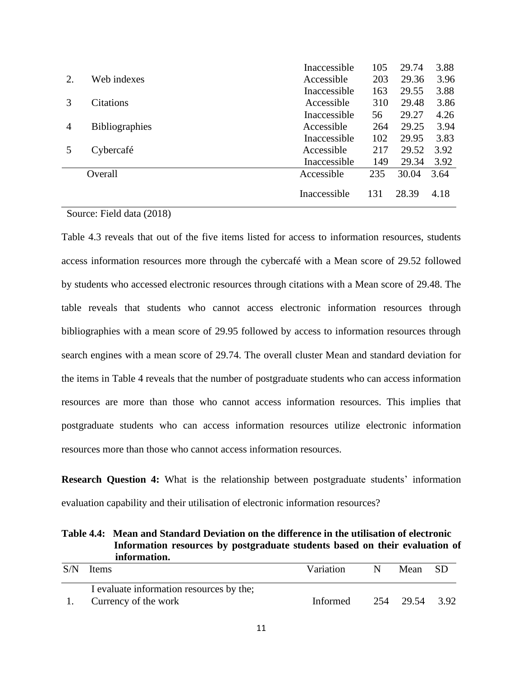|    |                       | Inaccessible | 105 | 29.74 | 3.88 |
|----|-----------------------|--------------|-----|-------|------|
| 2. | Web indexes           | Accessible   | 203 | 29.36 | 3.96 |
|    |                       | Inaccessible | 163 | 29.55 | 3.88 |
| 3  | <b>Citations</b>      | Accessible   | 310 | 29.48 | 3.86 |
|    |                       | Inaccessible | 56  | 29.27 | 4.26 |
| 4  | <b>Bibliographies</b> | Accessible   | 264 | 29.25 | 3.94 |
|    |                       | Inaccessible | 102 | 29.95 | 3.83 |
|    | Cybercafé             | Accessible   | 217 | 29.52 | 3.92 |
|    |                       | Inaccessible | 149 | 29.34 | 3.92 |
|    | Overall               | Accessible   | 235 | 30.04 | 3.64 |
|    |                       | Inaccessible | 131 | 28.39 | 4.18 |

## Source: Field data (2018)

Table 4.3 reveals that out of the five items listed for access to information resources, students access information resources more through the cybercafé with a Mean score of 29.52 followed by students who accessed electronic resources through citations with a Mean score of 29.48. The table reveals that students who cannot access electronic information resources through bibliographies with a mean score of 29.95 followed by access to information resources through search engines with a mean score of 29.74. The overall cluster Mean and standard deviation for the items in Table 4 reveals that the number of postgraduate students who can access information resources are more than those who cannot access information resources. This implies that postgraduate students who can access information resources utilize electronic information resources more than those who cannot access information resources.

**Research Question 4:** What is the relationship between postgraduate students' information evaluation capability and their utilisation of electronic information resources?

**Table 4.4: Mean and Standard Deviation on the difference in the utilisation of electronic Information resources by postgraduate students based on their evaluation of information.**

| S/N | <b>I</b> tems                            | Variation | N. | Mean SD        |  |
|-----|------------------------------------------|-----------|----|----------------|--|
|     | I evaluate information resources by the; |           |    |                |  |
|     | Currency of the work                     | Informed  |    | 254 29.54 3.92 |  |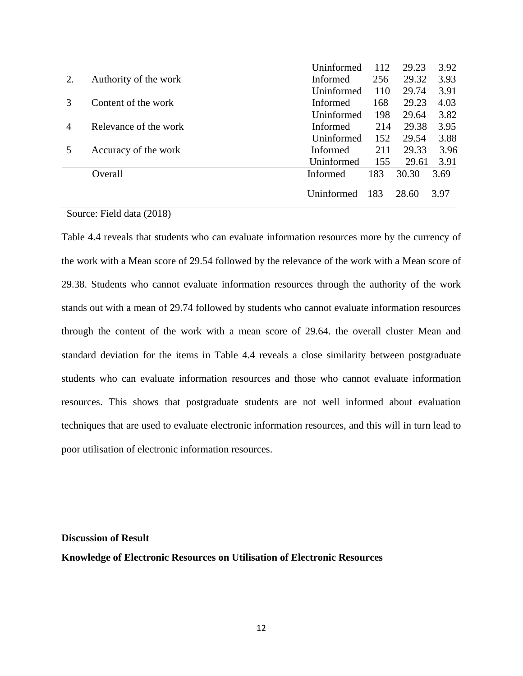|    |                       | Uninformed        | 112 | 29.23 | 3.92 |
|----|-----------------------|-------------------|-----|-------|------|
| 2. | Authority of the work | Informed          | 256 | 29.32 | 3.93 |
|    |                       | <b>Uninformed</b> | 110 | 29.74 | 3.91 |
|    | Content of the work   | <b>Informed</b>   | 168 | 29.23 | 4.03 |
|    |                       | <b>Uninformed</b> | 198 | 29.64 | 3.82 |
| 4  | Relevance of the work | <b>Informed</b>   | 214 | 29.38 | 3.95 |
|    |                       | <b>Uninformed</b> | 152 | 29.54 | 3.88 |
|    | Accuracy of the work  | <b>Informed</b>   | 211 | 29.33 | 3.96 |
|    |                       | Uninformed        | 155 | 29.61 | 3.91 |
|    | Overall               | Informed          | 183 | 30.30 | 3.69 |
|    |                       | Uninformed        | 183 | 28.60 | 3.97 |

### Source: Field data (2018)

Table 4.4 reveals that students who can evaluate information resources more by the currency of the work with a Mean score of 29.54 followed by the relevance of the work with a Mean score of 29.38. Students who cannot evaluate information resources through the authority of the work stands out with a mean of 29.74 followed by students who cannot evaluate information resources through the content of the work with a mean score of 29.64. the overall cluster Mean and standard deviation for the items in Table 4.4 reveals a close similarity between postgraduate students who can evaluate information resources and those who cannot evaluate information resources. This shows that postgraduate students are not well informed about evaluation techniques that are used to evaluate electronic information resources, and this will in turn lead to poor utilisation of electronic information resources.

#### **Discussion of Result**

**Knowledge of Electronic Resources on Utilisation of Electronic Resources**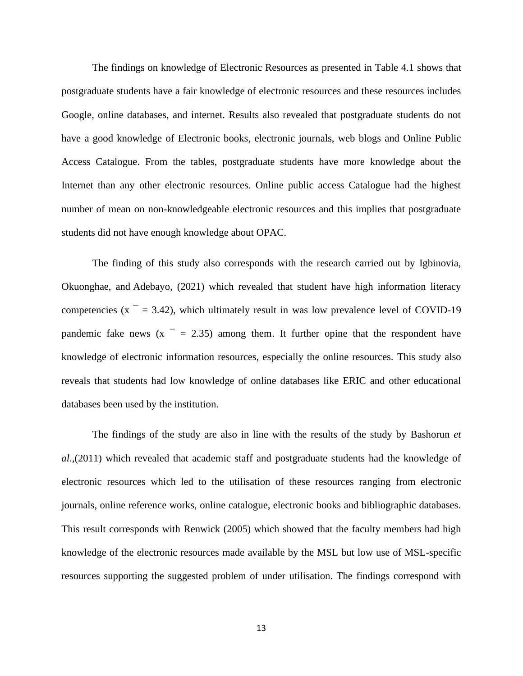The findings on knowledge of Electronic Resources as presented in Table 4.1 shows that postgraduate students have a fair knowledge of electronic resources and these resources includes Google, online databases, and internet. Results also revealed that postgraduate students do not have a good knowledge of Electronic books, electronic journals, web blogs and Online Public Access Catalogue. From the tables, postgraduate students have more knowledge about the Internet than any other electronic resources. Online public access Catalogue had the highest number of mean on non-knowledgeable electronic resources and this implies that postgraduate students did not have enough knowledge about OPAC.

The finding of this study also corresponds with the research carried out by [Igbinovia,](https://www.emerald.com/insight/search?q=Magnus%20Osahon%20Igbinovia)  [Okuonghae, a](https://www.emerald.com/insight/search?q=Omorodion%20Okuonghae)nd [Adebayo, \(](https://www.emerald.com/insight/search?q=John%20Oluwaseye%20Adebayo)2021) which revealed that student have high information literacy competencies ( $x = 3.42$ ), which ultimately result in was low prevalence level of COVID-19 pandemic fake news  $(x - 2.35)$  among them. It further opine that the respondent have knowledge of electronic information resources, especially the online resources. This study also reveals that students had low knowledge of online databases like ERIC and other educational databases been used by the institution.

The findings of the study are also in line with the results of the study by Bashorun *et al*.,(2011) which revealed that academic staff and postgraduate students had the knowledge of electronic resources which led to the utilisation of these resources ranging from electronic journals, online reference works, online catalogue, electronic books and bibliographic databases. This result corresponds with Renwick (2005) which showed that the faculty members had high knowledge of the electronic resources made available by the MSL but low use of MSL-specific resources supporting the suggested problem of under utilisation. The findings correspond with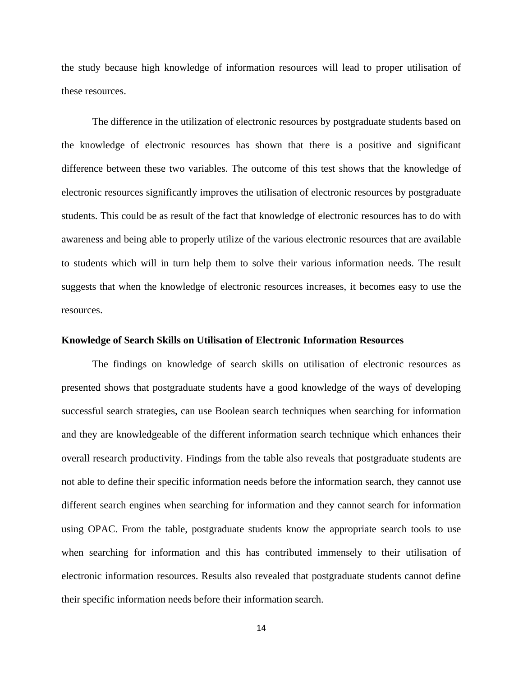the study because high knowledge of information resources will lead to proper utilisation of these resources.

The difference in the utilization of electronic resources by postgraduate students based on the knowledge of electronic resources has shown that there is a positive and significant difference between these two variables. The outcome of this test shows that the knowledge of electronic resources significantly improves the utilisation of electronic resources by postgraduate students. This could be as result of the fact that knowledge of electronic resources has to do with awareness and being able to properly utilize of the various electronic resources that are available to students which will in turn help them to solve their various information needs. The result suggests that when the knowledge of electronic resources increases, it becomes easy to use the resources.

### **Knowledge of Search Skills on Utilisation of Electronic Information Resources**

The findings on knowledge of search skills on utilisation of electronic resources as presented shows that postgraduate students have a good knowledge of the ways of developing successful search strategies, can use Boolean search techniques when searching for information and they are knowledgeable of the different information search technique which enhances their overall research productivity. Findings from the table also reveals that postgraduate students are not able to define their specific information needs before the information search, they cannot use different search engines when searching for information and they cannot search for information using OPAC. From the table, postgraduate students know the appropriate search tools to use when searching for information and this has contributed immensely to their utilisation of electronic information resources. Results also revealed that postgraduate students cannot define their specific information needs before their information search.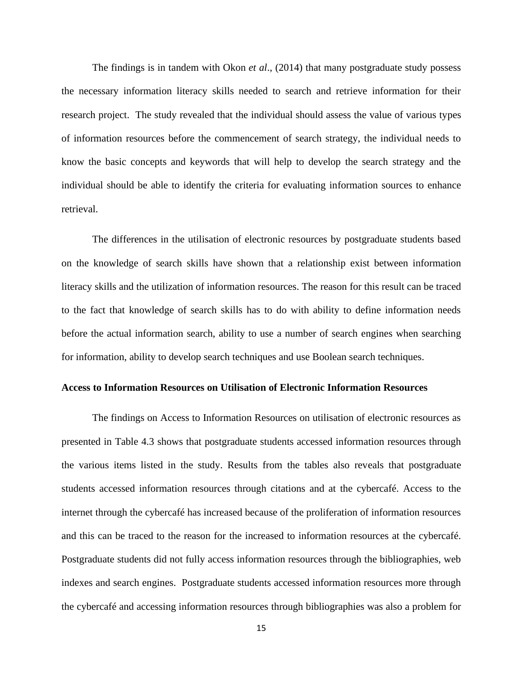The findings is in tandem with Okon *et al*., (2014) that many postgraduate study possess the necessary information literacy skills needed to search and retrieve information for their research project. The study revealed that the individual should assess the value of various types of information resources before the commencement of search strategy, the individual needs to know the basic concepts and keywords that will help to develop the search strategy and the individual should be able to identify the criteria for evaluating information sources to enhance retrieval.

The differences in the utilisation of electronic resources by postgraduate students based on the knowledge of search skills have shown that a relationship exist between information literacy skills and the utilization of information resources. The reason for this result can be traced to the fact that knowledge of search skills has to do with ability to define information needs before the actual information search, ability to use a number of search engines when searching for information, ability to develop search techniques and use Boolean search techniques.

### **Access to Information Resources on Utilisation of Electronic Information Resources**

The findings on Access to Information Resources on utilisation of electronic resources as presented in Table 4.3 shows that postgraduate students accessed information resources through the various items listed in the study. Results from the tables also reveals that postgraduate students accessed information resources through citations and at the cybercafé. Access to the internet through the cybercafé has increased because of the proliferation of information resources and this can be traced to the reason for the increased to information resources at the cybercafé. Postgraduate students did not fully access information resources through the bibliographies, web indexes and search engines. Postgraduate students accessed information resources more through the cybercafé and accessing information resources through bibliographies was also a problem for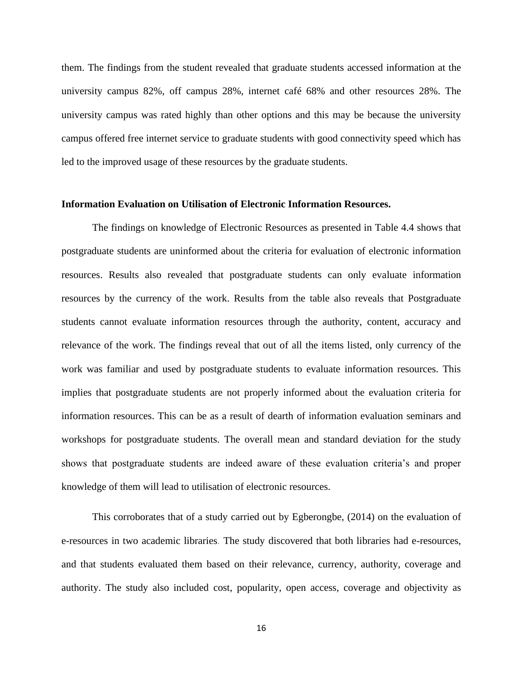them. The findings from the student revealed that graduate students accessed information at the university campus 82%, off campus 28%, internet café 68% and other resources 28%. The university campus was rated highly than other options and this may be because the university campus offered free internet service to graduate students with good connectivity speed which has led to the improved usage of these resources by the graduate students.

### **Information Evaluation on Utilisation of Electronic Information Resources.**

The findings on knowledge of Electronic Resources as presented in Table 4.4 shows that postgraduate students are uninformed about the criteria for evaluation of electronic information resources. Results also revealed that postgraduate students can only evaluate information resources by the currency of the work. Results from the table also reveals that Postgraduate students cannot evaluate information resources through the authority, content, accuracy and relevance of the work. The findings reveal that out of all the items listed, only currency of the work was familiar and used by postgraduate students to evaluate information resources. This implies that postgraduate students are not properly informed about the evaluation criteria for information resources. This can be as a result of dearth of information evaluation seminars and workshops for postgraduate students. The overall mean and standard deviation for the study shows that postgraduate students are indeed aware of these evaluation criteria's and proper knowledge of them will lead to utilisation of electronic resources.

This corroborates that of a study carried out by Egberongbe, (2014) on the evaluation of e-resources in two academic libraries. The study discovered that both libraries had e-resources, and that students evaluated them based on their relevance, currency, authority, coverage and authority. The study also included cost, popularity, open access, coverage and objectivity as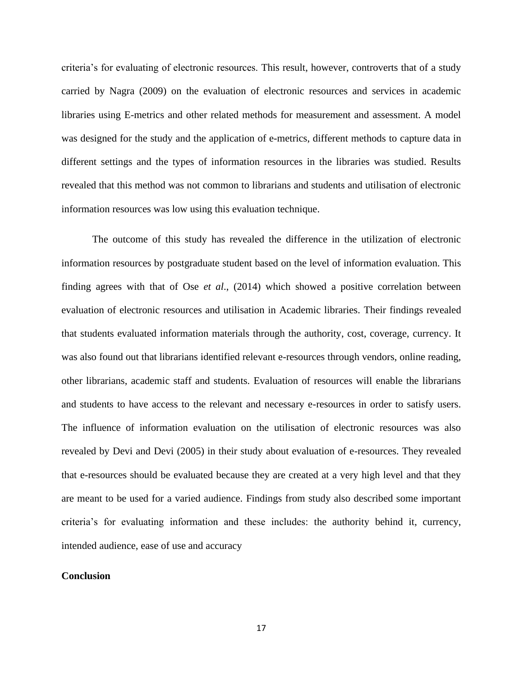criteria's for evaluating of electronic resources. This result, however, controverts that of a study carried by Nagra (2009) on the evaluation of electronic resources and services in academic libraries using E-metrics and other related methods for measurement and assessment. A model was designed for the study and the application of e-metrics, different methods to capture data in different settings and the types of information resources in the libraries was studied. Results revealed that this method was not common to librarians and students and utilisation of electronic information resources was low using this evaluation technique.

The outcome of this study has revealed the difference in the utilization of electronic information resources by postgraduate student based on the level of information evaluation. This finding agrees with that of Ose *et al*., (2014) which showed a positive correlation between evaluation of electronic resources and utilisation in Academic libraries. Their findings revealed that students evaluated information materials through the authority, cost, coverage, currency. It was also found out that librarians identified relevant e-resources through vendors, online reading, other librarians, academic staff and students. Evaluation of resources will enable the librarians and students to have access to the relevant and necessary e-resources in order to satisfy users. The influence of information evaluation on the utilisation of electronic resources was also revealed by Devi and Devi (2005) in their study about evaluation of e-resources. They revealed that e-resources should be evaluated because they are created at a very high level and that they are meant to be used for a varied audience. Findings from study also described some important criteria's for evaluating information and these includes: the authority behind it, currency, intended audience, ease of use and accuracy

### **Conclusion**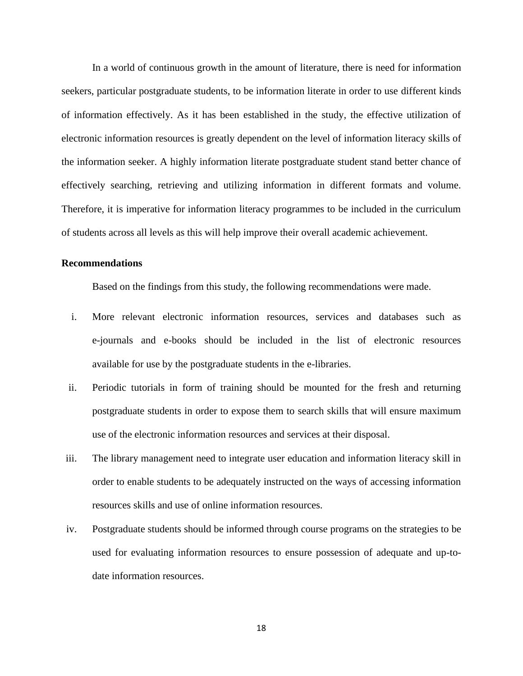In a world of continuous growth in the amount of literature, there is need for information seekers, particular postgraduate students, to be information literate in order to use different kinds of information effectively. As it has been established in the study, the effective utilization of electronic information resources is greatly dependent on the level of information literacy skills of the information seeker. A highly information literate postgraduate student stand better chance of effectively searching, retrieving and utilizing information in different formats and volume. Therefore, it is imperative for information literacy programmes to be included in the curriculum of students across all levels as this will help improve their overall academic achievement.

### **Recommendations**

Based on the findings from this study, the following recommendations were made.

- i. More relevant electronic information resources, services and databases such as e-journals and e-books should be included in the list of electronic resources available for use by the postgraduate students in the e-libraries.
- ii. Periodic tutorials in form of training should be mounted for the fresh and returning postgraduate students in order to expose them to search skills that will ensure maximum use of the electronic information resources and services at their disposal.
- iii. The library management need to integrate user education and information literacy skill in order to enable students to be adequately instructed on the ways of accessing information resources skills and use of online information resources.
- iv. Postgraduate students should be informed through course programs on the strategies to be used for evaluating information resources to ensure possession of adequate and up-todate information resources.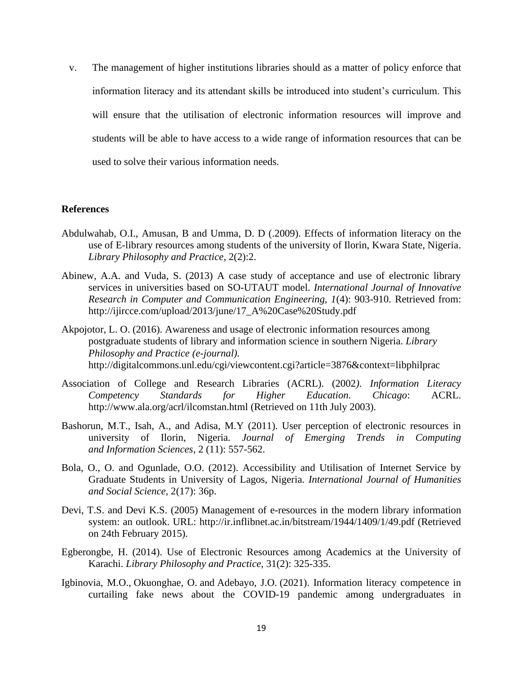v. The management of higher institutions libraries should as a matter of policy enforce that information literacy and its attendant skills be introduced into student's curriculum. This will ensure that the utilisation of electronic information resources will improve and students will be able to have access to a wide range of information resources that can be used to solve their various information needs.

#### **References**

- Abdulwahab, O.I., Amusan, B and Umma, D. D (.2009). Effects of information literacy on the use of E-library resources among students of the university of Ilorin, Kwara State, Nigeria. *Library Philosophy and Practice*, 2(2):2.
- Abinew, A.A. and Vuda, S. (2013) A case study of acceptance and use of electronic library services in universities based on SO-UTAUT model. *International Journal of Innovative Research in Computer and Communication Engineering, 1*(4): 903-910. Retrieved from: [http://ijircce.com/upload/2013/june/17\\_A%20Case%20Study.pdf](http://ijircce.com/upload/2013/june/17_A%20Case%20Study.pdf)
- Akpojotor, L. O. (2016). Awareness and usage of electronic information resources among postgraduate students of library and information science in southern Nigeria. *Library Philosophy and Practice (e-journal).* <http://digitalcommons.unl.edu/cgi/viewcontent.cgi?article=3876&context=libphilprac>
- Association of College and Research Libraries (ACRL). (2002*). Information Literacy Competency Standards for Higher Education. Chicago*: ACRL. <http://www.ala.org/acrl/ilcomstan.html> (Retrieved on 11th July 2003).
- Bashorun, M.T., Isah, A., and Adisa, M.Y (2011). User perception of electronic resources in university of Ilorin, Nigeria*. Journal of Emerging Trends in Computing and Information Sciences*, 2 (11): 557-562.
- Bola, O., O. and Ogunlade, O.O. (2012). Accessibility and Utilisation of Internet Service by Graduate Students in University of Lagos, Nigeria*. International Journal of Humanities and Social Science,* 2(17): 36p.
- Devi, T.S. and Devi K.S. (2005) Management of e-resources in the modern library information system: an outlook. URL: http://ir.inflibnet.ac.in/bitstream/1944/1409/1/49.pdf (Retrieved on 24th February 2015).
- Egberongbe, H. (2014). Use of Electronic Resources among Academics at the University of Karachi. *Library Philosophy and Practice*, 31(2): 325-335.
- [Igbinovia, M.O.,](https://www.emerald.com/insight/search?q=Magnus%20Osahon%20Igbinovia) [Okuonghae, O.](https://www.emerald.com/insight/search?q=Omorodion%20Okuonghae) and [Adebayo, J.O.](https://www.emerald.com/insight/search?q=John%20Oluwaseye%20Adebayo) (2021). Information literacy competence in curtailing fake news about the COVID-19 pandemic among undergraduates in